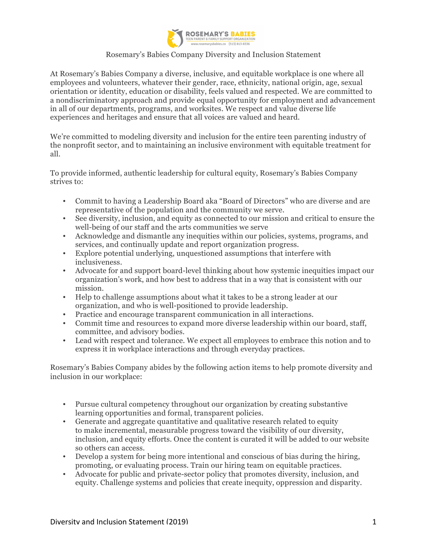

# Rosemary's Babies Company Diversity and Inclusion Statement

At Rosemary's Babies Company a diverse, inclusive, and equitable workplace is one where all employees and volunteers, whatever their gender, race, ethnicity, national origin, age, sexual orientation or identity, education or disability, feels valued and respected. We are committed to a nondiscriminatory approach and provide equal opportunity for employment and advancement in all of our departments, programs, and worksites. We respect and value diverse life experiences and heritages and ensure that all voices are valued and heard.

We're committed to modeling diversity and inclusion for the entire teen parenting industry of the nonprofit sector, and to maintaining an inclusive environment with equitable treatment for all.

To provide informed, authentic leadership for cultural equity, Rosemary's Babies Company strives to:

- Commit to having a Leadership Board aka "Board of Directors" who are diverse and are representative of the population and the community we serve.
- See diversity, inclusion, and equity as connected to our mission and critical to ensure the well-being of our staff and the arts communities we serve
- Acknowledge and dismantle any inequities within our policies, systems, programs, and services, and continually update and report organization progress.
- Explore potential underlying, unquestioned assumptions that interfere with inclusiveness.
- Advocate for and support board-level thinking about how systemic inequities impact our organization's work, and how best to address that in a way that is consistent with our mission.
- Help to challenge assumptions about what it takes to be a strong leader at our organization, and who is well-positioned to provide leadership.
- Practice and encourage transparent communication in all interactions.
- Commit time and resources to expand more diverse leadership within our board, staff, committee, and advisory bodies.
- Lead with respect and tolerance. We expect all employees to embrace this notion and to express it in workplace interactions and through everyday practices.

Rosemary's Babies Company abides by the following action items to help promote diversity and inclusion in our workplace:

- Pursue cultural competency throughout our organization by creating substantive learning opportunities and formal, transparent policies.
- Generate and aggregate quantitative and qualitative research related to equity to make incremental, measurable progress toward the visibility of our diversity, inclusion, and equity efforts. Once the content is curated it will be added to our website so others can access.
- Develop a system for being more intentional and conscious of bias during the hiring, promoting, or evaluating process. Train our hiring team on equitable practices.
- Advocate for public and private-sector policy that promotes diversity, inclusion, and equity. Challenge systems and policies that create inequity, oppression and disparity.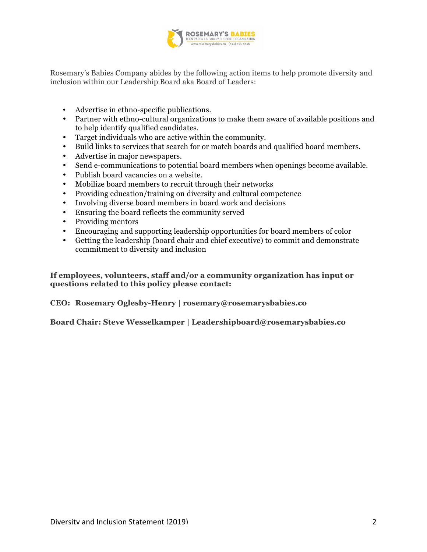

Rosemary's Babies Company abides by the following action items to help promote diversity and inclusion within our Leadership Board aka Board of Leaders:

- Advertise in ethno-specific publications.
- Partner with ethno-cultural organizations to make them aware of available positions and to help identify qualified candidates.
- Target individuals who are active within the community.
- Build links to services that search for or match boards and qualified board members.
- Advertise in major newspapers.
- Send e-communications to potential board members when openings become available.
- Publish board vacancies on a website.
- Mobilize board members to recruit through their networks
- Providing education/training on diversity and cultural competence
- Involving diverse board members in board work and decisions
- Ensuring the board reflects the community served
- Providing mentors
- Encouraging and supporting leadership opportunities for board members of color
- Getting the leadership (board chair and chief executive) to commit and demonstrate commitment to diversity and inclusion

**If employees, volunteers, staff and/or a community organization has input or questions related to this policy please contact:**

**CEO: Rosemary Oglesby-Henry | rosemary@rosemarysbabies.co**

**Board Chair: Steve Wesselkamper | Leadershipboard@rosemarysbabies.co**